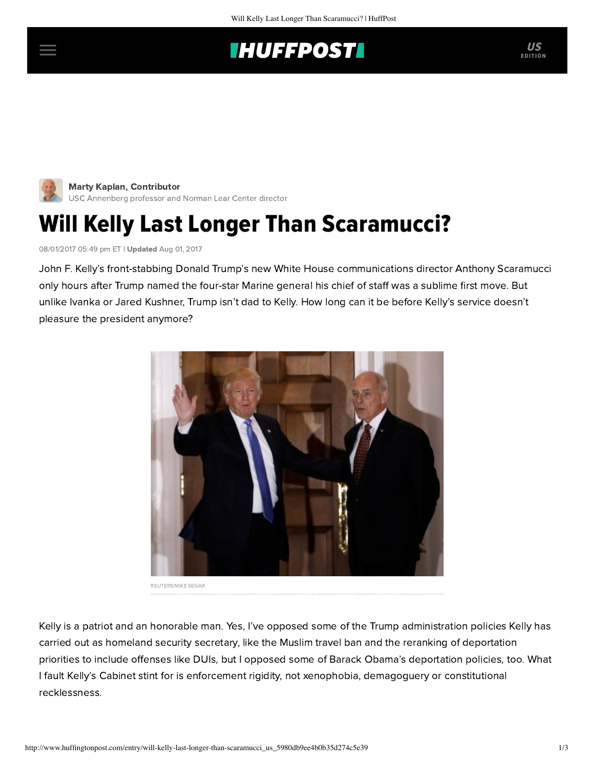## **INUFFPOSTI** US



[M](http://www.huffingtonpost.com/author/marty-kaplan)arty Kaplan, Contributor [USC Annenberg professor and Norman Lear Center director](http://www.huffingtonpost.com/author/marty-kaplan)

## Will Kelly Last Longer Than Scaramucci?

08/01/2017 05:49 pm ET | Updated Aug 01, 2017

John F. Kelly's front-stabbing Donald Trump's new White House communications director Anthony Scaramucci only hours after Trump named the four-star Marine general his chief of staff was a sublime first move. But unlike Ivanka or Jared Kushner, Trump isn't dad to Kelly. How long can it be before Kelly's service doesn't pleasure the president anymore?



REUTERS/MIKE SEGAR

Kelly is a patriot and an honorable man. Yes, I've opposed some of the Trump administration policies Kelly has carried out as homeland security secretary, like the Muslim travel ban and the reranking of deportation priorities to include offenses like DUIs, but I opposed some of Barack Obama's deportation policies, too. What I fault Kelly's Cabinet stint for is enforcement rigidity, not xenophobia, demagoguery or constitutional recklessness.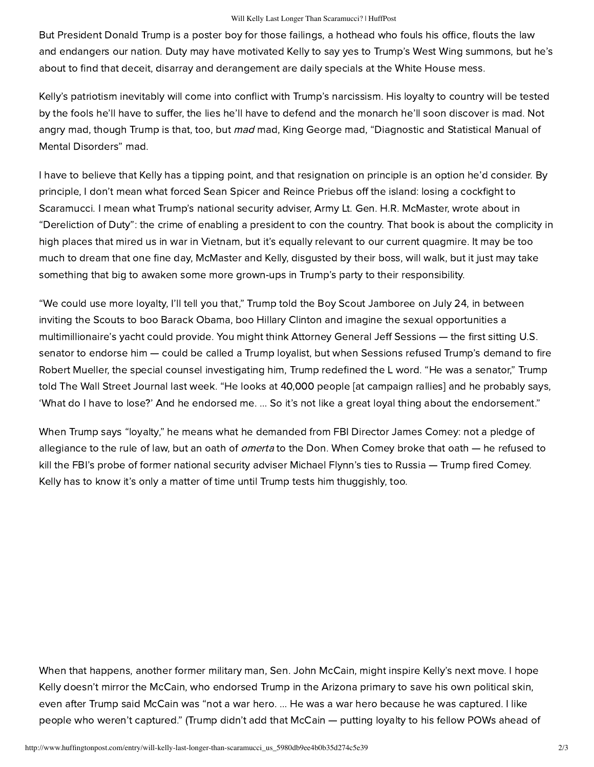## Will Kelly Last Longer Than Scaramucci? | HuffPost

But President Donald Trump is a poster boy for those failings, a hothead who fouls his office, flouts the law and endangers our nation. Duty may have motivated Kelly to say yes to Trump's West Wing summons, but he's about to find that deceit, disarray and derangement are daily specials at the White House mess.

Kelly's patriotism inevitably will come into conflict with Trump's narcissism. His loyalty to country will be tested by the fools he'll have to suffer, the lies he'll have to defend and the monarch he'll soon discover is mad. Not angry mad, though Trump is that, too, but mad mad, King George mad, "Diagnostic and Statistical Manual of Mental Disorders" mad.

I have to believe that Kelly has a tipping point, and that resignation on principle is an option he'd consider. By principle, I don't mean what forced Sean Spicer and Reince Priebus off the island: losing a cockfight to Scaramucci. I mean what Trump's national security adviser, Army Lt. Gen. H.R. McMaster, wrote about in "Dereliction of Duty": the crime of enabling a president to con the country. That book is about the complicity in high places that mired us in war in Vietnam, but it's equally relevant to our current quagmire. It may be too much to dream that one fine day, McMaster and Kelly, disgusted by their boss, will walk, but it just may take something that big to awaken some more grown-ups in Trump's party to their responsibility.

"We could use more loyalty, I'll tell you that," Trump told the Boy Scout Jamboree on July 24, in between inviting the Scouts to boo Barack Obama, boo Hillary Clinton and imagine the sexual opportunities a multimillionaire's yacht could provide. You might think Attorney General Jeff Sessions — the first sitting U.S. senator to endorse him — could be called a Trump loyalist, but when Sessions refused Trump's demand to fire Robert Mueller, the special counsel investigating him, Trump redefined the L word. "He was a senator," Trump told The Wall Street Journal last week. "He looks at 40,000 people [at campaign rallies] and he probably says, 'What do I have to lose?' And he endorsed me. … So it's not like a great loyal thing about the endorsement."

When Trump says "loyalty," he means what he demanded from FBI Director James Comey: not a pledge of allegiance to the rule of law, but an oath of *omerta* to the Don. When Comey broke that oath — he refused to kill the FBI's probe of former national security adviser Michael Flynn's ties to Russia — Trump fired Comey. Kelly has to know it's only a matter of time until Trump tests him thuggishly, too.

When that happens, another former military man, Sen. John McCain, might inspire Kelly's next move. I hope Kelly doesn't mirror the McCain, who endorsed Trump in the Arizona primary to save his own political skin, even after Trump said McCain was "not a war hero. … He was a war hero because he was captured. I like people who weren't captured." (Trump didn't add that McCain — putting loyalty to his fellow POWs ahead of